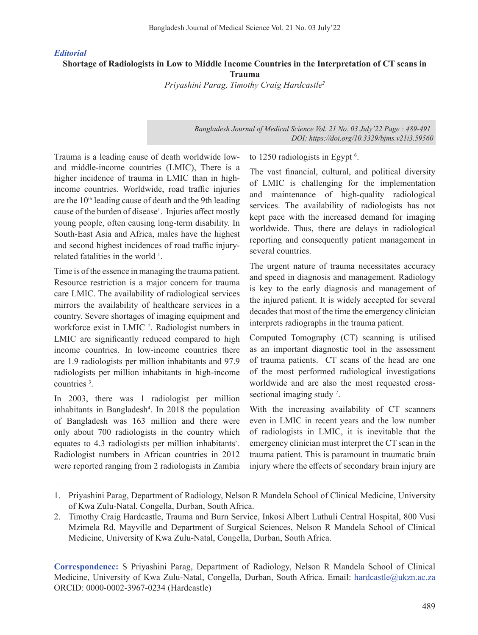## *Editorial*

**Shortage of Radiologists in Low to Middle Income Countries in the Interpretation of CT scans in Trauma**

*Priyashini Parag, Timothy Craig Hardcastle2*

*Bangladesh Journal of Medical Science Vol. 21 No. 03 July'22 Page : 489-491 DOI: https://doi.org/10.3329/bjms.v21i3.59560*

Trauma is a leading cause of death worldwide lowand middle-income countries (LMIC), There is a higher incidence of trauma in LMIC than in highincome countries. Worldwide, road traffic injuries are the  $10<sup>th</sup>$  leading cause of death and the 9th leading cause of the burden of disease<sup>1</sup>. Injuries affect mostly young people, often causing long-term disability. In South-East Asia and Africa, males have the highest and second highest incidences of road traffic injuryrelated fatalities in the world <sup>1</sup>.

Time is of the essence in managing the trauma patient. Resource restriction is a major concern for trauma care LMIC. The availability of radiological services mirrors the availability of healthcare services in a country. Severe shortages of imaging equipment and workforce exist in LMIC<sup>2</sup>. Radiologist numbers in LMIC are significantly reduced compared to high income countries. In low-income countries there are 1.9 radiologists per million inhabitants and 97.9 radiologists per million inhabitants in high-income countries <sup>3</sup> .

In 2003, there was 1 radiologist per million inhabitants in Bangladesh<sup>4</sup>. In 2018 the population of Bangladesh was 163 million and there were only about 700 radiologists in the country which equates to 4.3 radiologists per million inhabitants<sup>5</sup>. Radiologist numbers in African countries in 2012 were reported ranging from 2 radiologists in Zambia

to 1250 radiologists in Egypt<sup>6</sup>.

The vast financial, cultural, and political diversity of LMIC is challenging for the implementation and maintenance of high-quality radiological services. The availability of radiologists has not kept pace with the increased demand for imaging worldwide. Thus, there are delays in radiological reporting and consequently patient management in several countries.

The urgent nature of trauma necessitates accuracy and speed in diagnosis and management. Radiology is key to the early diagnosis and management of the injured patient. It is widely accepted for several decades that most of the time the emergency clinician interprets radiographs in the trauma patient.

Computed Tomography (CT) scanning is utilised as an important diagnostic tool in the assessment of trauma patients. CT scans of the head are one of the most performed radiological investigations worldwide and are also the most requested crosssectional imaging study<sup>7</sup>.

With the increasing availability of CT scanners even in LMIC in recent years and the low number of radiologists in LMIC, it is inevitable that the emergency clinician must interpret the CT scan in the trauma patient. This is paramount in traumatic brain injury where the effects of secondary brain injury are

<sup>1.</sup> Priyashini Parag, Department of Radiology, Nelson R Mandela School of Clinical Medicine, University of Kwa Zulu-Natal, Congella, Durban, South Africa.

<sup>2.</sup> Timothy Craig Hardcastle, Trauma and Burn Service, Inkosi Albert Luthuli Central Hospital, 800 Vusi Mzimela Rd, Mayville and Department of Surgical Sciences, Nelson R Mandela School of Clinical Medicine, University of Kwa Zulu-Natal, Congella, Durban, South Africa.

**Correspondence:** S Priyashini Parag, Department of Radiology, Nelson R Mandela School of Clinical Medicine, University of Kwa Zulu-Natal, Congella, Durban, South Africa. Email: hardcastle@ukzn.ac.za ORCID: 0000-0002-3967-0234 (Hardcastle)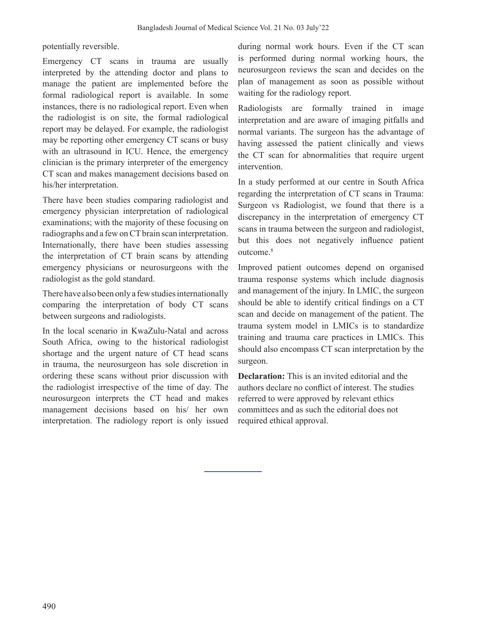potentially reversible.

Emergency CT scans in trauma are usually interpreted by the attending doctor and plans to manage the patient are implemented before the formal radiological report is available. In some instances, there is no radiological report. Even when the radiologist is on site, the formal radiological report may be delayed. For example, the radiologist may be reporting other emergency CT scans or busy with an ultrasound in ICU. Hence, the emergency clinician is the primary interpreter of the emergency CT scan and makes management decisions based on his/her interpretation.

There have been studies comparing radiologist and emergency physician interpretation of radiological examinations; with the majority of these focusing on radiographs and a few on CT brain scan interpretation. Internationally, there have been studies assessing the interpretation of CT brain scans by attending emergency physicians or neurosurgeons with the radiologist as the gold standard.

There have also been only a few studies internationally comparing the interpretation of body CT scans between surgeons and radiologists.

In the local scenario in KwaZulu-Natal and across South Africa, owing to the historical radiologist shortage and the urgent nature of CT head scans in trauma, the neurosurgeon has sole discretion in ordering these scans without prior discussion with the radiologist irrespective of the time of day. The neurosurgeon interprets the CT head and makes management decisions based on his/ her own interpretation. The radiology report is only issued

during normal work hours. Even if the CT scan is performed during normal working hours, the neurosurgeon reviews the scan and decides on the plan of management as soon as possible without waiting for the radiology report.

Radiologists are formally trained in image interpretation and are aware of imaging pitfalls and normal variants. The surgeon has the advantage of having assessed the patient clinically and views the CT scan for abnormalities that require urgent intervention.

In a study performed at our centre in South Africa regarding the interpretation of CT scans in Trauma: Surgeon vs Radiologist, we found that there is a discrepancy in the interpretation of emergency CT scans in trauma between the surgeon and radiologist, but this does not negatively influence patient outcome.<sup>8</sup>

Improved patient outcomes depend on organised trauma response systems which include diagnosis and management of the injury. In LMIC, the surgeon should be able to identify critical findings on a CT scan and decide on management of the patient. The trauma system model in LMICs is to standardize training and trauma care practices in LMICs. This should also encompass CT scan interpretation by the surgeon.

**Declaration:** This is an invited editorial and the authors declare no conflict of interest. The studies referred to were approved by relevant ethics committees and as such the editorial does not required ethical approval.